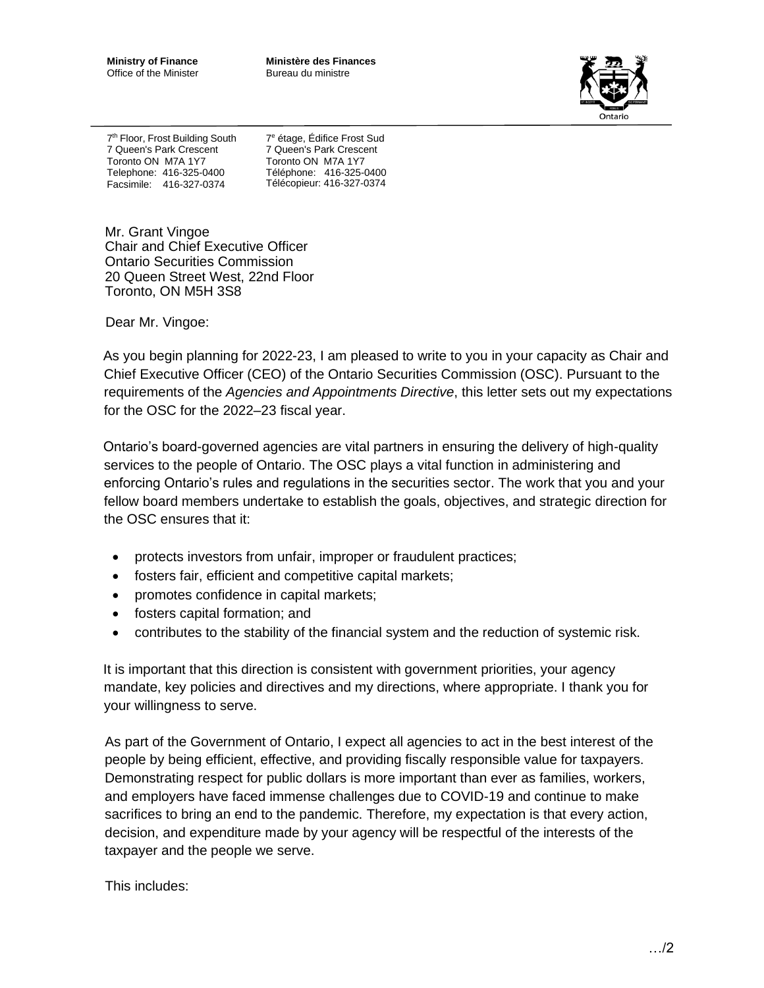**Ministry of Finance** Office of the Minister **Ministère des Finances** Bureau du ministre



7<sup>th</sup> Floor, Frost Building South 7 Queen's Park Crescent Toronto ON M7A 1Y7 Telephone: 416-325-0400 Facsimile: 416-327-0374

7 <sup>e</sup> étage, Édifice Frost Sud 7 Queen's Park Crescent Toronto ON M7A 1Y7 Téléphone: 416-325-0400 Télécopieur: 416-327-0374

Mr. Grant Vingoe Chair and Chief Executive Officer Ontario Securities Commission 20 Queen Street West, 22nd Floor Toronto, ON M5H 3S8

Dear Mr. Vingoe:

As you begin planning for 2022-23, I am pleased to write to you in your capacity as Chair and Chief Executive Officer (CEO) of the Ontario Securities Commission (OSC). Pursuant to the requirements of the *Agencies and Appointments Directive*, this letter sets out my expectations for the OSC for the 2022–23 fiscal year.

Ontario's board-governed agencies are vital partners in ensuring the delivery of high-quality services to the people of Ontario. The OSC plays a vital function in administering and enforcing Ontario's rules and regulations in the securities sector. The work that you and your fellow board members undertake to establish the goals, objectives, and strategic direction for the OSC ensures that it:

- protects investors from unfair, improper or fraudulent practices;
- fosters fair, efficient and competitive capital markets;
- promotes confidence in capital markets;
- fosters capital formation; and
- contributes to the stability of the financial system and the reduction of systemic risk.

It is important that this direction is consistent with government priorities, your agency mandate, key policies and directives and my directions, where appropriate. I thank you for your willingness to serve.

As part of the Government of Ontario, I expect all agencies to act in the best interest of the people by being efficient, effective, and providing fiscally responsible value for taxpayers. Demonstrating respect for public dollars is more important than ever as families, workers, and employers have faced immense challenges due to COVID-19 and continue to make sacrifices to bring an end to the pandemic. Therefore, my expectation is that every action, decision, and expenditure made by your agency will be respectful of the interests of the taxpayer and the people we serve.

This includes: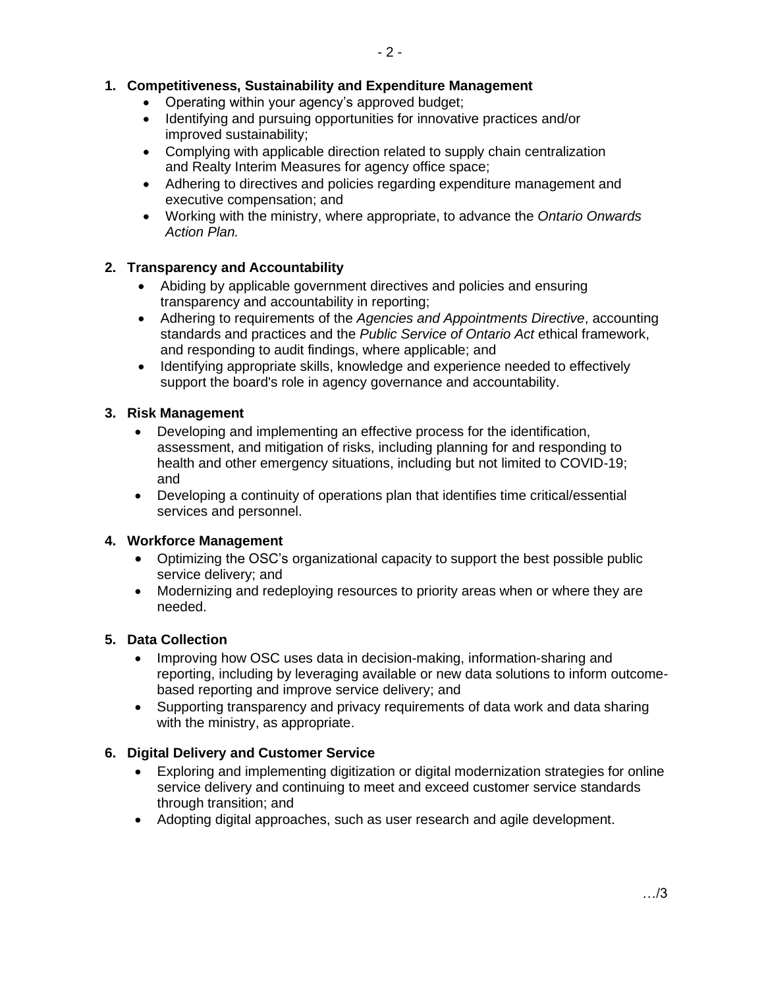# **1. Competitiveness, Sustainability and Expenditure Management**

- Operating within your agency's approved budget;
- Identifying and pursuing opportunities for innovative practices and/or improved sustainability;
- Complying with applicable direction related to supply chain centralization and Realty Interim Measures for agency office space;
- Adhering to directives and policies regarding expenditure management and executive compensation; and
- Working with the ministry, where appropriate, to advance the *Ontario Onwards Action Plan.*

## **2. Transparency and Accountability**

- Abiding by applicable government directives and policies and ensuring transparency and accountability in reporting;
- Adhering to requirements of the *Agencies and Appointments Directive*, accounting standards and practices and the *Public Service of Ontario Act* ethical framework, and responding to audit findings, where applicable; and
- Identifying appropriate skills, knowledge and experience needed to effectively support the board's role in agency governance and accountability.

#### **3. Risk Management**

- Developing and implementing an effective process for the identification, assessment, and mitigation of risks, including planning for and responding to health and other emergency situations, including but not limited to COVID-19; and
- Developing a continuity of operations plan that identifies time critical/essential services and personnel.

## **4. Workforce Management**

- Optimizing the OSC's organizational capacity to support the best possible public service delivery; and
- Modernizing and redeploying resources to priority areas when or where they are needed.

### **5. Data Collection**

- Improving how OSC uses data in decision-making, information-sharing and reporting, including by leveraging available or new data solutions to inform outcomebased reporting and improve service delivery; and
- Supporting transparency and privacy requirements of data work and data sharing with the ministry, as appropriate.

## **6. Digital Delivery and Customer Service**

- Exploring and implementing digitization or digital modernization strategies for online service delivery and continuing to meet and exceed customer service standards through transition; and
- Adopting digital approaches, such as user research and agile development.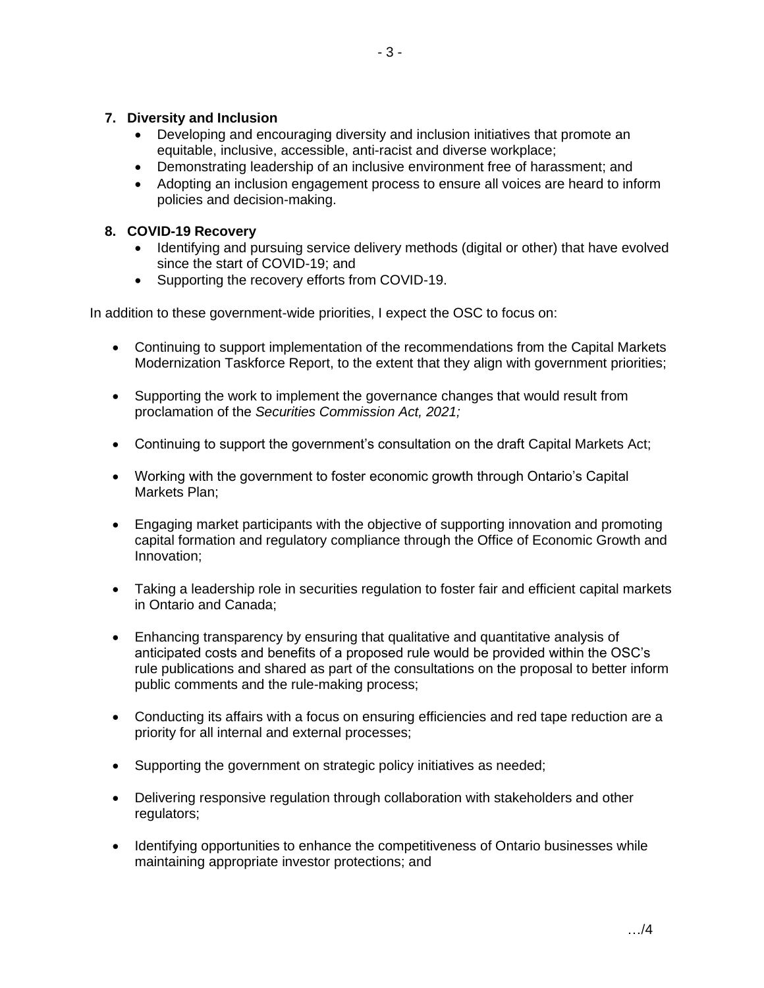## **7. Diversity and Inclusion**

- Developing and encouraging diversity and inclusion initiatives that promote an equitable, inclusive, accessible, anti-racist and diverse workplace;
- Demonstrating leadership of an inclusive environment free of harassment; and
- Adopting an inclusion engagement process to ensure all voices are heard to inform policies and decision-making.

# **8. COVID-19 Recovery**

- Identifying and pursuing service delivery methods (digital or other) that have evolved since the start of COVID-19; and
- Supporting the recovery efforts from COVID-19.

In addition to these government-wide priorities, I expect the OSC to focus on:

- Continuing to support implementation of the recommendations from the Capital Markets Modernization Taskforce Report, to the extent that they align with government priorities;
- Supporting the work to implement the governance changes that would result from proclamation of the *Securities Commission Act, 2021;*
- Continuing to support the government's consultation on the draft Capital Markets Act;
- Working with the government to foster economic growth through Ontario's Capital Markets Plan;
- Engaging market participants with the objective of supporting innovation and promoting capital formation and regulatory compliance through the Office of Economic Growth and Innovation;
- Taking a leadership role in securities regulation to foster fair and efficient capital markets in Ontario and Canada;
- Enhancing transparency by ensuring that qualitative and quantitative analysis of anticipated costs and benefits of a proposed rule would be provided within the OSC's rule publications and shared as part of the consultations on the proposal to better inform public comments and the rule-making process;
- Conducting its affairs with a focus on ensuring efficiencies and red tape reduction are a priority for all internal and external processes;
- Supporting the government on strategic policy initiatives as needed;
- Delivering responsive regulation through collaboration with stakeholders and other regulators;
- Identifying opportunities to enhance the competitiveness of Ontario businesses while maintaining appropriate investor protections; and